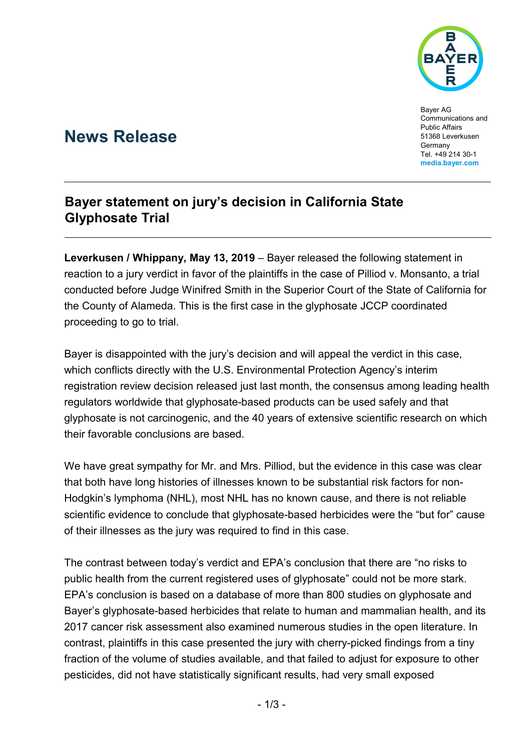

Bayer AG Communications and Public Affairs 51368 Leverkusen **Germany** Tel. +49 214 30-1 **[media.bayer.com](http://media.bayer.de/)**

# **News Release**

## **Bayer statement on jury's decision in California State Glyphosate Trial**

**Leverkusen / Whippany, May 13, 2019** – Bayer released the following statement in reaction to a jury verdict in favor of the plaintiffs in the case of Pilliod v. Monsanto, a trial conducted before Judge Winifred Smith in the Superior Court of the State of California for the County of Alameda. This is the first case in the glyphosate JCCP coordinated proceeding to go to trial.

Bayer is disappointed with the jury's decision and will appeal the verdict in this case, which conflicts directly with the U.S. Environmental Protection Agency's interim registration review decision released just last month, the consensus among leading health regulators worldwide that glyphosate-based products can be used safely and that glyphosate is not carcinogenic, and the 40 years of extensive scientific research on which their favorable conclusions are based.

We have great sympathy for Mr. and Mrs. Pilliod, but the evidence in this case was clear that both have long histories of illnesses known to be substantial risk factors for non-Hodgkin's lymphoma (NHL), most NHL has no known cause, and there is not reliable scientific evidence to conclude that glyphosate-based herbicides were the "but for" cause of their illnesses as the jury was required to find in this case.

The contrast between today's verdict and EPA's conclusion that there are "no risks to public health from the current registered uses of glyphosate" could not be more stark. EPA's conclusion is based on a database of more than 800 studies on glyphosate and Bayer's glyphosate-based herbicides that relate to human and mammalian health, and its 2017 cancer risk assessment also examined numerous studies in the open literature. In contrast, plaintiffs in this case presented the jury with cherry-picked findings from a tiny fraction of the volume of studies available, and that failed to adjust for exposure to other pesticides, did not have statistically significant results, had very small exposed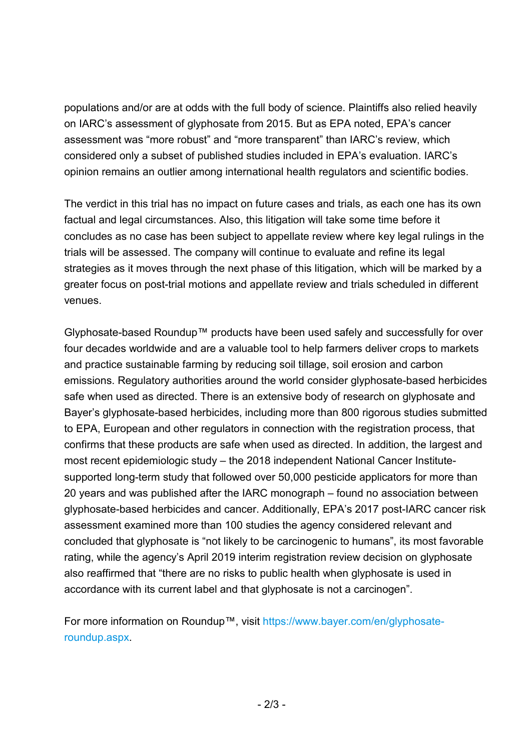populations and/or are at odds with the full body of science. Plaintiffs also relied heavily on IARC's assessment of glyphosate from 2015. But as EPA noted, EPA's cancer assessment was "more robust" and "more transparent" than IARC's review, which considered only a subset of published studies included in EPA's evaluation. IARC's opinion remains an outlier among international health regulators and scientific bodies.

The verdict in this trial has no impact on future cases and trials, as each one has its own factual and legal circumstances. Also, this litigation will take some time before it concludes as no case has been subject to appellate review where key legal rulings in the trials will be assessed. The company will continue to evaluate and refine its legal strategies as it moves through the next phase of this litigation, which will be marked by a greater focus on post-trial motions and appellate review and trials scheduled in different venues.

Glyphosate-based Roundup™ products have been used safely and successfully for over four decades worldwide and are a valuable tool to help farmers deliver crops to markets and practice sustainable farming by reducing soil tillage, soil erosion and carbon emissions. Regulatory authorities around the world consider glyphosate-based herbicides safe when used as directed. There is an extensive body of research on glyphosate and Bayer's glyphosate-based herbicides, including more than 800 rigorous studies submitted to EPA, European and other regulators in connection with the registration process, that confirms that these products are safe when used as directed. In addition, the largest and most recent epidemiologic study – the 2018 independent National Cancer Institutesupported long-term study that followed over 50,000 pesticide applicators for more than 20 years and was published after the IARC monograph – found no association between glyphosate-based herbicides and cancer. Additionally, EPA's 2017 post-IARC cancer risk assessment examined more than 100 studies the agency considered relevant and concluded that glyphosate is "not likely to be carcinogenic to humans", its most favorable rating, while the agency's April 2019 interim registration review decision on glyphosate also reaffirmed that "there are no risks to public health when glyphosate is used in accordance with its current label and that glyphosate is not a carcinogen".

For more information on Roundup™, visit [https://www.bayer.com/en/glyphosate](https://www.bayer.com/en/glyphosate-roundup.aspx)[roundup.aspx.](https://www.bayer.com/en/glyphosate-roundup.aspx)